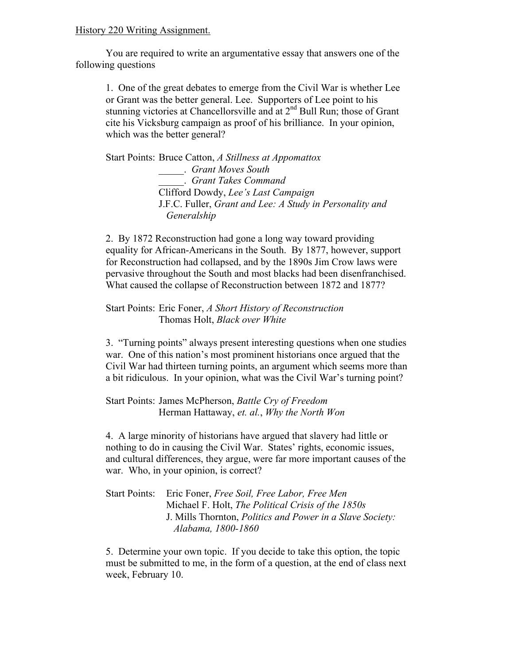## History 220 Writing Assignment.

You are required to write an argumentative essay that answers one of the following questions

1. One of the great debates to emerge from the Civil War is whether Lee or Grant was the better general. Lee. Supporters of Lee point to his stunning victories at Chancellorsville and at 2<sup>nd</sup> Bull Run; those of Grant cite his Vicksburg campaign as proof of his brilliance. In your opinion, which was the better general?

Start Points: Bruce Catton, *A Stillness at Appomattox* \_\_\_\_\_. *Grant Moves South* \_\_\_\_\_. *Grant Takes Command* Clifford Dowdy, *Lee's Last Campaign* J.F.C. Fuller, *Grant and Lee: A Study in Personality and Generalship*

2. By 1872 Reconstruction had gone a long way toward providing equality for African-Americans in the South. By 1877, however, support for Reconstruction had collapsed, and by the 1890s Jim Crow laws were pervasive throughout the South and most blacks had been disenfranchised. What caused the collapse of Reconstruction between 1872 and 1877?

## Start Points: Eric Foner, *A Short History of Reconstruction* Thomas Holt, *Black over White*

3. "Turning points" always present interesting questions when one studies war. One of this nation's most prominent historians once argued that the Civil War had thirteen turning points, an argument which seems more than a bit ridiculous. In your opinion, what was the Civil War's turning point?

Start Points: James McPherson, *Battle Cry of Freedom* Herman Hattaway, *et. al.*, *Why the North Won*

4. A large minority of historians have argued that slavery had little or nothing to do in causing the Civil War. States' rights, economic issues, and cultural differences, they argue, were far more important causes of the war. Who, in your opinion, is correct?

## Start Points: Eric Foner, *Free Soil, Free Labor, Free Men* Michael F. Holt, *The Political Crisis of the 1850s* J. Mills Thornton, *Politics and Power in a Slave Society: Alabama, 1800-1860*

5. Determine your own topic. If you decide to take this option, the topic must be submitted to me, in the form of a question, at the end of class next week, February 10.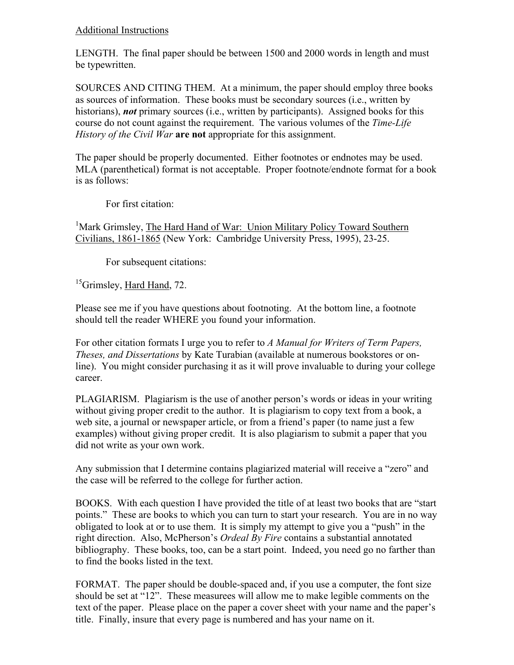## Additional Instructions

LENGTH. The final paper should be between 1500 and 2000 words in length and must be typewritten.

SOURCES AND CITING THEM. At a minimum, the paper should employ three books as sources of information. These books must be secondary sources (i.e., written by historians), *not* primary sources (i.e., written by participants). Assigned books for this course do not count against the requirement. The various volumes of the *Time-Life History of the Civil War* **are not** appropriate for this assignment.

The paper should be properly documented. Either footnotes or endnotes may be used. MLA (parenthetical) format is not acceptable. Proper footnote/endnote format for a book is as follows:

For first citation:

<sup>1</sup>Mark Grimsley, The Hard Hand of War: Union Military Policy Toward Southern Civilians, 1861-1865 (New York: Cambridge University Press, 1995), 23-25.

For subsequent citations:

<sup>15</sup>Grimsley, Hard Hand, 72.

Please see me if you have questions about footnoting. At the bottom line, a footnote should tell the reader WHERE you found your information.

For other citation formats I urge you to refer to *A Manual for Writers of Term Papers, Theses, and Dissertations* by Kate Turabian (available at numerous bookstores or online). You might consider purchasing it as it will prove invaluable to during your college career.

PLAGIARISM. Plagiarism is the use of another person's words or ideas in your writing without giving proper credit to the author. It is plagiarism to copy text from a book, a web site, a journal or newspaper article, or from a friend's paper (to name just a few examples) without giving proper credit. It is also plagiarism to submit a paper that you did not write as your own work.

Any submission that I determine contains plagiarized material will receive a "zero" and the case will be referred to the college for further action.

BOOKS. With each question I have provided the title of at least two books that are "start points." These are books to which you can turn to start your research. You are in no way obligated to look at or to use them. It is simply my attempt to give you a "push" in the right direction. Also, McPherson's *Ordeal By Fire* contains a substantial annotated bibliography. These books, too, can be a start point. Indeed, you need go no farther than to find the books listed in the text.

FORMAT. The paper should be double-spaced and, if you use a computer, the font size should be set at "12". These measurees will allow me to make legible comments on the text of the paper. Please place on the paper a cover sheet with your name and the paper's title. Finally, insure that every page is numbered and has your name on it.